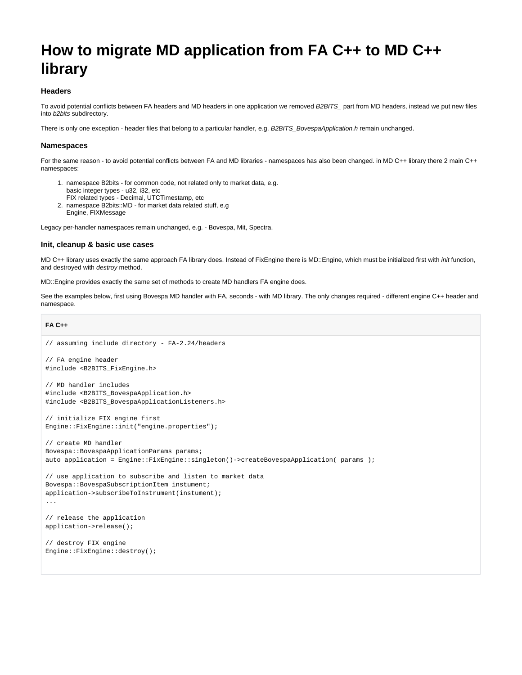# **How to migrate MD application from FA C++ to MD C++ library**

# **Headers**

To avoid potential conflicts between FA headers and MD headers in one application we removed B2BITS\_ part from MD headers, instead we put new files into b2bits subdirectory.

There is only one exception - header files that belong to a particular handler, e.g. B2BITS\_BovespaApplication.h remain unchanged.

## **Namespaces**

For the same reason - to avoid potential conflicts between FA and MD libraries - namespaces has also been changed. in MD C++ library there 2 main C++ namespaces:

- 1. namespace B2bits for common code, not related only to market data, e.g. basic integer types - u32, i32, etc FIX related types - Decimal, UTCTimestamp, etc
- 2. namespace B2bits::MD for market data related stuff, e.g Engine, FIXMessage

Legacy per-handler namespaces remain unchanged, e.g. - Bovespa, Mit, Spectra.

### **Init, cleanup & basic use cases**

MD C++ library uses exactly the same approach FA library does. Instead of FixEngine there is MD::Engine, which must be initialized first with init function, and destroyed with destroy method.

MD::Engine provides exactly the same set of methods to create MD handlers FA engine does.

See the examples below, first using Bovespa MD handler with FA, seconds - with MD library. The only changes required - different engine C++ header and namespace.

# **FA C++** // assuming include directory - FA-2.24/headers // FA engine header #include <B2BITS\_FixEngine.h> // MD handler includes #include <B2BITS\_BovespaApplication.h> #include <B2BITS\_BovespaApplicationListeners.h> // initialize FIX engine first Engine::FixEngine::init("engine.properties"); // create MD handler Bovespa::BovespaApplicationParams params; auto application = Engine::FixEngine::singleton()->createBovespaApplication( params ); // use application to subscribe and listen to market data Bovespa::BovespaSubscriptionItem instument; application->subscribeToInstrument(instument); ... // release the application application->release(); // destroy FIX engine Engine::FixEngine::destroy();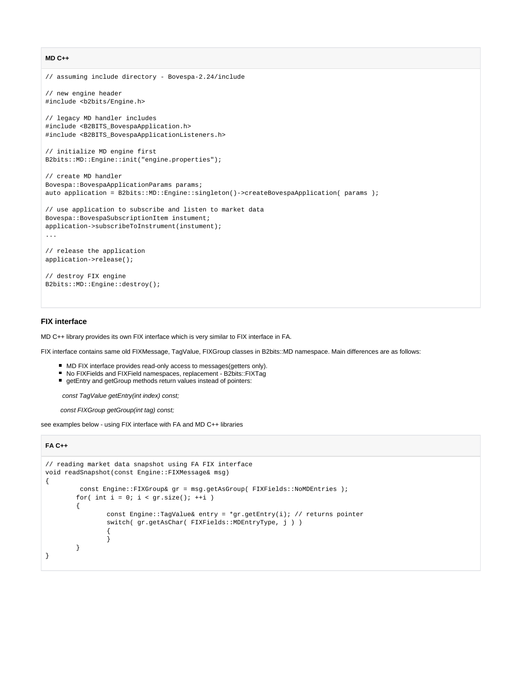#### **MD C++**

```
// assuming include directory - Bovespa-2.24/include
// new engine header
#include <b2bits/Engine.h>
// legacy MD handler includes
#include <B2BITS_BovespaApplication.h>
#include <B2BITS_BovespaApplicationListeners.h>
// initialize MD engine first
B2bits::MD::Engine::init("engine.properties");
// create MD handler
Bovespa::BovespaApplicationParams params;
auto application = B2bits::MD::Engine::singleton()->createBovespaApplication( params );
// use application to subscribe and listen to market data
Bovespa::BovespaSubscriptionItem instument;
application->subscribeToInstrument(instument);
...
// release the application
application->release();
// destroy FIX engine
B2bits::MD::Engine::destroy();
```
## **FIX interface**

MD C++ library provides its own FIX interface which is very similar to FIX interface in FA.

FIX interface contains same old FIXMessage, TagValue, FIXGroup classes in B2bits::MD namespace. Main differences are as follows:

- MD FIX interface provides read-only access to messages(getters only).
- No FIXFields and FIXField namespaces, replacement B2bits::FIXTag
- getEntry and getGroup methods return values instead of pointers:

const TagValue getEntry(int index) const;

const FIXGroup getGroup(int tag) const;

see examples below - using FIX interface with FA and MD C++ libraries

# **FA C++**

```
// reading market data snapshot using FA FIX interface
void readSnapshot(const Engine::FIXMessage& msg)
{
         const Engine::FIXGroup& gr = msg.getAsGroup( FIXFields::NoMDEntries );
       for( int i = 0; i < gr.size(); ++i )
        {
                const Engine::TagValue& entry = *gr.getEntry(i); // returns pointer
                switch( gr.getAsChar( FIXFields::MDEntryType, j ) ) 
\{ }
        }
}
```